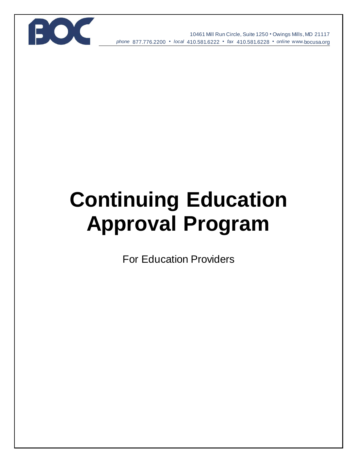

10461 Mill Run Circle, Suite 1250 • Owings Mills, MD 21117 *phone* 877.776.2200 • *local* 410.581.6222 • *fax* 410.581.6228 • *online* www*.*bocusa.org

# **Continuing Education Approval Program**

For Education Providers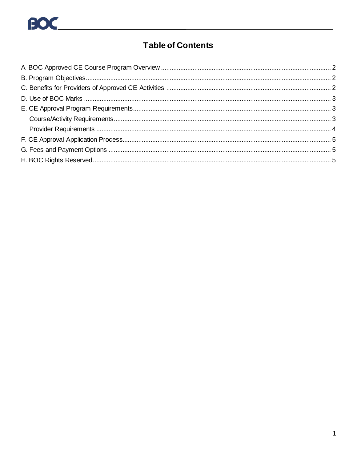

# **Table of Contents**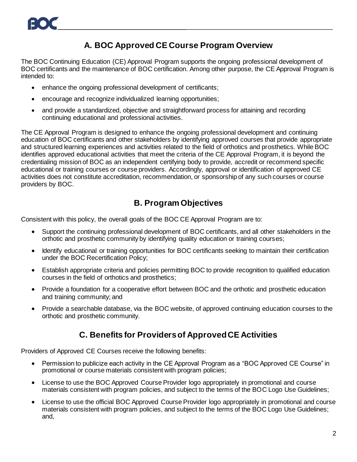# **A. BOC Approved CE Course Program Overview**

<span id="page-2-0"></span>The BOC Continuing Education (CE) Approval Program supports the ongoing professional development of BOC certificants and the maintenance of BOC certification. Among other purpose, the CE Approval Program is intended to:

- enhance the ongoing professional development of certificants;
- encourage and recognize individualized learning opportunities;
- and provide a standardized, objective and straightforward process for attaining and recording continuing educational and professional activities.

The CE Approval Program is designed to enhance the ongoing professional development and continuing education of BOC certificants and other stakeholders by identifying approved courses that provide appropriate and structured learning experiences and activities related to the field of orthotics and prosthetics. While BOC identifies approved educational activities that meet the criteria of the CE Approval Program, it is beyond the credentialing mission of BOC as an independent certifying body to provide, accredit or recommend specific educational or training courses or course providers. Accordingly, approval or identification of approved CE activities does not constitute accreditation, recommendation, or sponsorship of any such courses or course providers by BOC.

# **B. Program Objectives**

<span id="page-2-1"></span>Consistent with this policy, the overall goals of the BOC CE Approval Program are to:

- Support the continuing professional development of BOC certificants, and all other stakeholders in the orthotic and prosthetic community by identifying quality education or training courses;
- Identify educational or training opportunities for BOC certificants seeking to maintain their certification under the BOC Recertification Policy;
- Establish appropriate criteria and policies permitting BOC to provide recognition to qualified education courses in the field of orthotics and prosthetics;
- Provide a foundation for a cooperative effort between BOC and the orthotic and prosthetic education and training community; and
- <span id="page-2-2"></span> Provide a searchable database, via the BOC website, of approved continuing education courses to the orthotic and prosthetic community.

# **C. Benefits for Providers of Approved CE Activities**

Providers of Approved CE Courses receive the following benefits:

- Permission to publicize each activity in the CE Approval Program as a "BOC Approved CE Course" in promotional or course materials consistent with program policies;
- License to use the BOC Approved Course Provider logo appropriately in promotional and course materials consistent with program policies, and subject to the terms of the BOC Logo Use Guidelines;
- License to use the official BOC Approved Course Provider logo appropriately in promotional and course materials consistent with program policies, and subject to the terms of the BOC Logo Use Guidelines; and,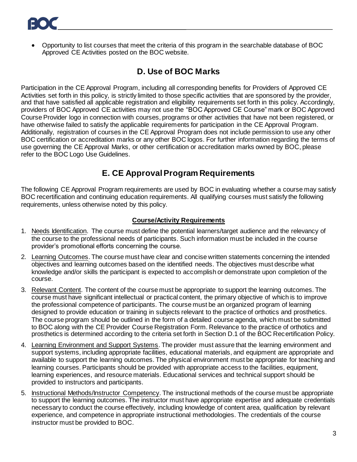<span id="page-3-0"></span> Opportunity to list courses that meet the criteria of this program in the searchable database of BOC Approved CE Activities posted on the BOC website.

# **D. Use of BOC Marks**

Participation in the CE Approval Program, including all corresponding benefits for Providers of Approved CE Activities set forth in this policy, is strictly limited to those specific activities that are sponsored by the provider, and that have satisfied all applicable registration and eligibility requirements set forth in this policy. Accordingly, providers of BOC Approved CE activities may not use the "BOC Approved CE Course" mark or BOC Approved Course Provider logo in connection with courses, programs or other activities that have not been registered, or have otherwise failed to satisfy the applicable requirements for participation in the CE Approval Program. Additionally, registration of courses in the CE Approval Program does not include permission to use any other BOC certification or accreditation marks or any other BOC logos. For further information regarding the terms of use governing the CE Approval Marks, or other certification or accreditation marks owned by BOC, please refer to the BOC Logo Use Guidelines.

# **E. CE Approval Program Requirements**

<span id="page-3-1"></span>The following CE Approval Program requirements are used by BOC in evaluating whether a course may satisfy BOC recertification and continuing education requirements. All qualifying courses must satisfy the following requirements, unless otherwise noted by this policy.

#### **Course/Activity Requirements**

- <span id="page-3-2"></span>1. Needs Identification. The course must define the potential learners/target audience and the relevancy of the course to the professional needs of participants. Such information must be included in the course provider's promotional efforts concerning the course.
- 2. Learning Outcomes. The course must have clear and concise written statements concerning the intended objectives and learning outcomes based on the identified needs. The objectives must describe what knowledge and/or skills the participant is expected to accomplish or demonstrate upon completion of the course.
- 3. Relevant Content. The content of the course must be appropriate to support the learning outcomes. The course must have significant intellectual or practical content, the primary objective of which is to improve the professional competence of participants. The course must be an organized program of learning designed to provide education or training in subjects relevant to the practice of orthotics and prosthetics. The course program should be outlined in the form of a detailed course agenda, which must be submitted to BOC along with the CE Provider Course Registration Form. Relevance to the practice of orthotics and prosthetics is determined according to the criteria set forth in Section D.1 of the BOC Recertification Policy.
- 4. Learning Environment and Support Systems. The provider must assure that the learning environment and support systems, including appropriate facilities, educational materials, and equipment are appropriate and available to support the learning outcomes. The physical environment must be appropriate for teaching and learning courses. Participants should be provided with appropriate access to the facilities, equipment, learning experiences, and resource materials. Educational services and technical support should be provided to instructors and participants.
- 5. Instructional Methods/Instructor Competency. The instructional methods of the course must be appropriate to support the learning outcomes. The instructor must have appropriate expertise and adequate credentials necessary to conduct the course effectively, including knowledge of content area, qualification by relevant experience, and competence in appropriate instructional methodologies. The credentials of the course instructor must be provided to BOC.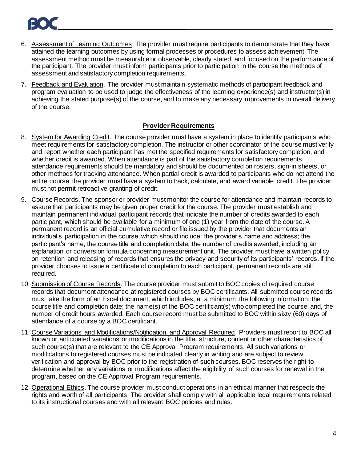- 6. Assessment of Learning Outcomes. The provider must require participants to demonstrate that they have attained the learning outcomes by using formal processes or procedures to assess achievement. The assessment method must be measurable or observable, clearly stated, and focused on the performance of the participant. The provider must inform participants prior to participation in the course the methods of assessment and satisfactory completion requirements.
- 7. Feedback and Evaluation. The provider must maintain systematic methods of participant feedback and program evaluation to be used to judge the effectiveness of the learning experience(s) and instructor(s) in achieving the stated purpose(s) of the course, and to make any necessary improvements in overall delivery of the course.

#### **Provider Requirements**

- <span id="page-4-0"></span>8. System for Awarding Credit. The course provider must have a system in place to identify participants who meet requirements for satisfactory completion. The instructor or other coordinator of the course must verify and report whether each participant has met the specified requirements for satisfactory completion, and whether credit is awarded. When attendance is part of the satisfactory completion requirements, attendance requirements should be mandatory and should be documented on rosters, sign-in sheets, or other methods for tracking attendance. When partial credit is awarded to participants who do not attend the entire course, the provider must have a system to track, calculate, and award variable credit. The provider must not permit retroactive granting of credit.
- 9. Course Records. The sponsor or provider must monitor the course for attendance and maintain records to assure that participants may be given proper credit for the course. The provider must establish and maintain permanent individual participant records that indicate the number of credits awarded to each participant, which should be available for a minimum of one (1) year from the date of the course. A permanent record is an official cumulative record or file issued by the provider that documents an individual's participation in the course, which should include: the provider's name and address; the participant's name; the course title and completion date; the number of credits awarded, including an explanation or conversion formula concerning measurement unit. The provider must have a written policy on retention and releasing of records that ensures the privacy and security of its participants' records. If the provider chooses to issue a certificate of completion to each participant, permanent records are still required.
- 10. Submission of Course Records. The course provider must submit to BOC copies of required course records that document attendance at registered courses by BOC certificants. All submitted course records must take the form of an Excel document, which includes, at a minimum, the following information: the course title and completion date; the name(s) of the BOC certificant(s) who completed the course; and, the number of credit hours awarded. Each course record must be submitted to BOC within sixty (60) days of attendance of a course by a BOC certificant.
- 11. Course Variations and Modifications/Notification and Approval Required. Providers must report to BOC all known or anticipated variations or modifications in the title, structure, content or other characteristics of such course(s) that are relevant to the CE Approval Program requirements. All such variations or modifications to registered courses must be indicated clearly in writing and are subject to review, verification and approval by BOC prior to the registration of such courses. BOC reserves the right to determine whether any variations or modifications affect the eligibility of such courses for renewal in the program, based on the CE Approval Program requirements.
- <span id="page-4-1"></span>12. Operational Ethics. The course provider must conduct operations in an ethical manner that respects the rights and worth of all participants. The provider shall comply with all applicable legal requirements related to its instructional courses and with all relevant BOC policies and rules.